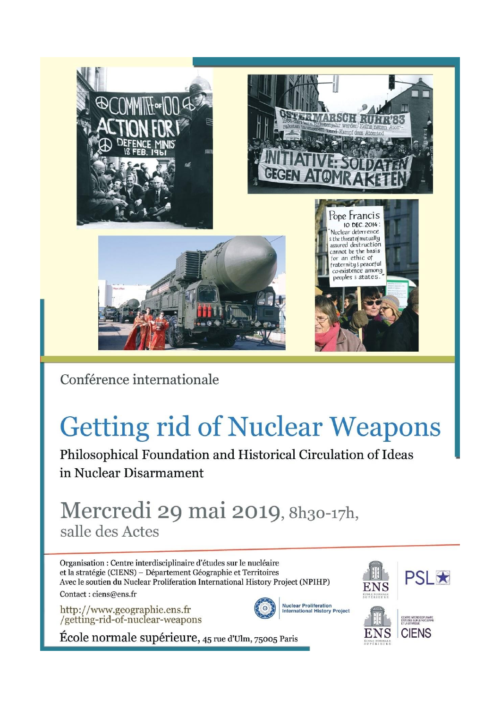

Conférence internationale

# **Getting rid of Nuclear Weapons**

Philosophical Foundation and Historical Circulation of Ideas in Nuclear Disarmament

## Mercredi 29 mai 2019, 8h30-17h, salle des Actes

Organisation : Centre interdisciplinaire d'études sur le nucléaire et la stratégie (CIENS) - Département Géographie et Territoires Avec le soutien du Nuclear Proliferation International History Project (NPIHP) Contact: ciens@ens.fr

http://www.geographie.ens.fr<br>/getting-rid-of-nuclear-weapons







École normale supérieure, 45 rue d'Ulm, 75005 Paris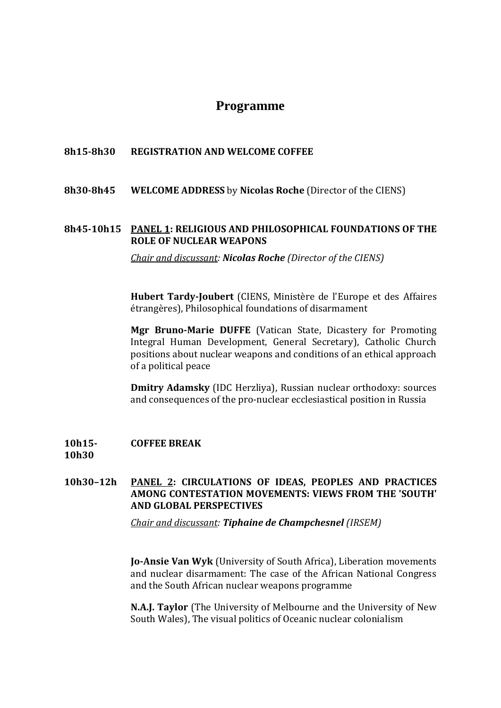## **Programme**

## **8h15-8h30 REGISTRATION AND WELCOME COFFEE**

**8h30-8h45 WELCOME ADDRESS** by **Nicolas Roche** (Director of the CIENS)

## **8h45-10h15 PANEL 1: RELIGIOUS AND PHILOSOPHICAL FOUNDATIONS OF THE ROLE OF NUCLEAR WEAPONS**

*Chair and discussant: Nicolas Roche (Director of the CIENS)*

**Hubert Tardy-Joubert** (CIENS, Ministère de l'Europe et des Affaires étrangères), Philosophical foundations of disarmament

**Mgr Bruno-Marie DUFFE** (Vatican State, Dicastery for Promoting Integral Human Development, General Secretary), Catholic Church positions about nuclear weapons and conditions of an ethical approach of a political peace

**Dmitry Adamsky** (IDC Herzliya), Russian nuclear orthodoxy: sources and consequences of the pro-nuclear ecclesiastical position in Russia

#### **10h15- 10h30 COFFEE BREAK**

## **10h30–12h PANEL 2: CIRCULATIONS OF IDEAS, PEOPLES AND PRACTICES AMONG CONTESTATION MOVEMENTS: VIEWS FROM THE 'SOUTH' AND GLOBAL PERSPECTIVES**

*Chair and discussant: Tiphaine de Champchesnel (IRSEM)* 

**Jo-Ansie Van Wyk** (University of South Africa), Liberation movements and nuclear disarmament: The case of the African National Congress and the South African nuclear weapons programme

**N.A.J. Taylor** (The University of Melbourne and the University of New South Wales), The visual politics of Oceanic nuclear colonialism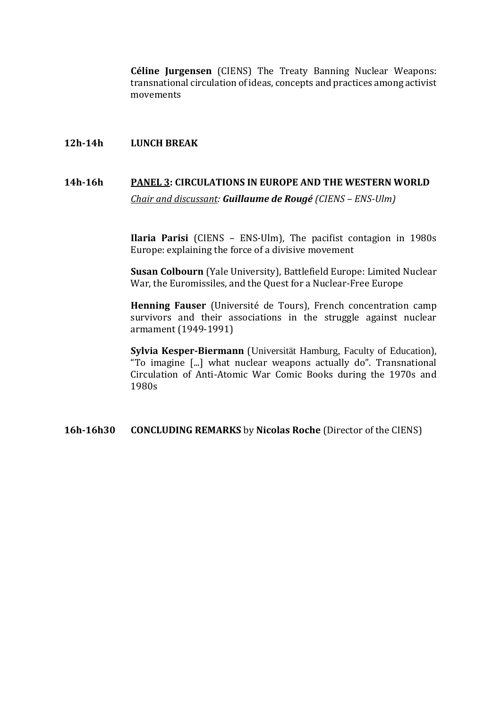**Céline Jurgensen** (CIENS) The Treaty Banning Nuclear Weapons: transnational circulation of ideas, concepts and practices among activist movements

### **12h-14h LUNCH BREAK**

## **14h-16h PANEL 3: CIRCULATIONS IN EUROPE AND THE WESTERN WORLD** *Chair and discussant: Guillaume de Rougé (CIENS – ENS-Ulm)*

**Ilaria Parisi** (CIENS – ENS-Ulm), The pacifist contagion in 1980s Europe: explaining the force of a divisive movement

**Susan Colbourn** (Yale University), Battlefield Europe: Limited Nuclear War, the Euromissiles, and the Quest for a Nuclear-Free Europe

**Henning Fauser** (Université de Tours), French concentration camp survivors and their associations in the struggle against nuclear armament (1949-1991)

**Sylvia Kesper-Biermann** (Universität Hamburg, Faculty of Education), "To imagine [...] what nuclear weapons actually do". Transnational Circulation of Anti-Atomic War Comic Books during the 1970s and 1980s

**16h-16h30 CONCLUDING REMARKS** by **Nicolas Roche** (Director of the CIENS)